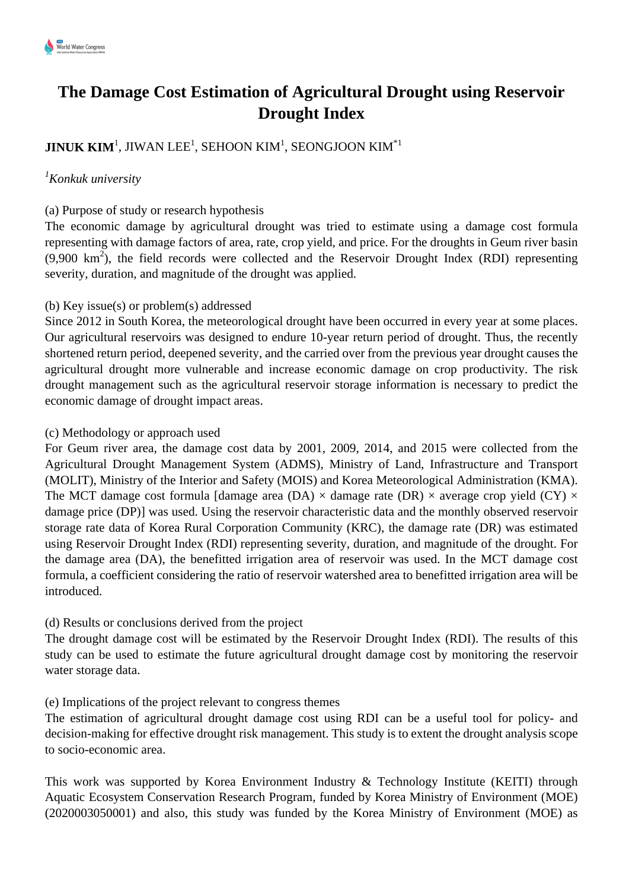# **The Damage Cost Estimation of Agricultural Drought using Reservoir Drought Index**

# $\mathbf{JINUK}\;\mathbf{KIM}^{1}, \mathrm{JIWAN}\;\mathrm{LEE}^{1}, \mathrm{SEHOON}\;\mathrm{KIM}^{1}, \mathrm{SEONGJOON}\;\mathrm{KIM}^{*1}$

# *<sup>1</sup>Konkuk university*

#### (a) Purpose of study or research hypothesis

The economic damage by agricultural drought was tried to estimate using a damage cost formula representing with damage factors of area, rate, crop yield, and price. For the droughts in Geum river basin  $(9,900 \text{ km}^2)$ , the field records were collected and the Reservoir Drought Index (RDI) representing severity, duration, and magnitude of the drought was applied.

## (b) Key issue(s) or problem(s) addressed

Since 2012 in South Korea, the meteorological drought have been occurred in every year at some places. Our agricultural reservoirs was designed to endure 10-year return period of drought. Thus, the recently shortened return period, deepened severity, and the carried over from the previous year drought causes the agricultural drought more vulnerable and increase economic damage on crop productivity. The risk drought management such as the agricultural reservoir storage information is necessary to predict the economic damage of drought impact areas.

#### (c) Methodology or approach used

For Geum river area, the damage cost data by 2001, 2009, 2014, and 2015 were collected from the Agricultural Drought Management System (ADMS), Ministry of Land, Infrastructure and Transport (MOLIT), Ministry of the Interior and Safety (MOIS) and Korea Meteorological Administration (KMA). The MCT damage cost formula [damage area (DA)  $\times$  damage rate (DR)  $\times$  average crop yield (CY)  $\times$ damage price (DP)] was used. Using the reservoir characteristic data and the monthly observed reservoir storage rate data of Korea Rural Corporation Community (KRC), the damage rate (DR) was estimated using Reservoir Drought Index (RDI) representing severity, duration, and magnitude of the drought. For the damage area (DA), the benefitted irrigation area of reservoir was used. In the MCT damage cost formula, a coefficient considering the ratio of reservoir watershed area to benefitted irrigation area will be introduced.

## (d) Results or conclusions derived from the project

The drought damage cost will be estimated by the Reservoir Drought Index (RDI). The results of this study can be used to estimate the future agricultural drought damage cost by monitoring the reservoir water storage data.

#### (e) Implications of the project relevant to congress themes

The estimation of agricultural drought damage cost using RDI can be a useful tool for policy- and decision-making for effective drought risk management. This study is to extent the drought analysis scope to socio-economic area.

This work was supported by Korea Environment Industry & Technology Institute (KEITI) through Aquatic Ecosystem Conservation Research Program, funded by Korea Ministry of Environment (MOE) (2020003050001) and also, this study was funded by the Korea Ministry of Environment (MOE) as